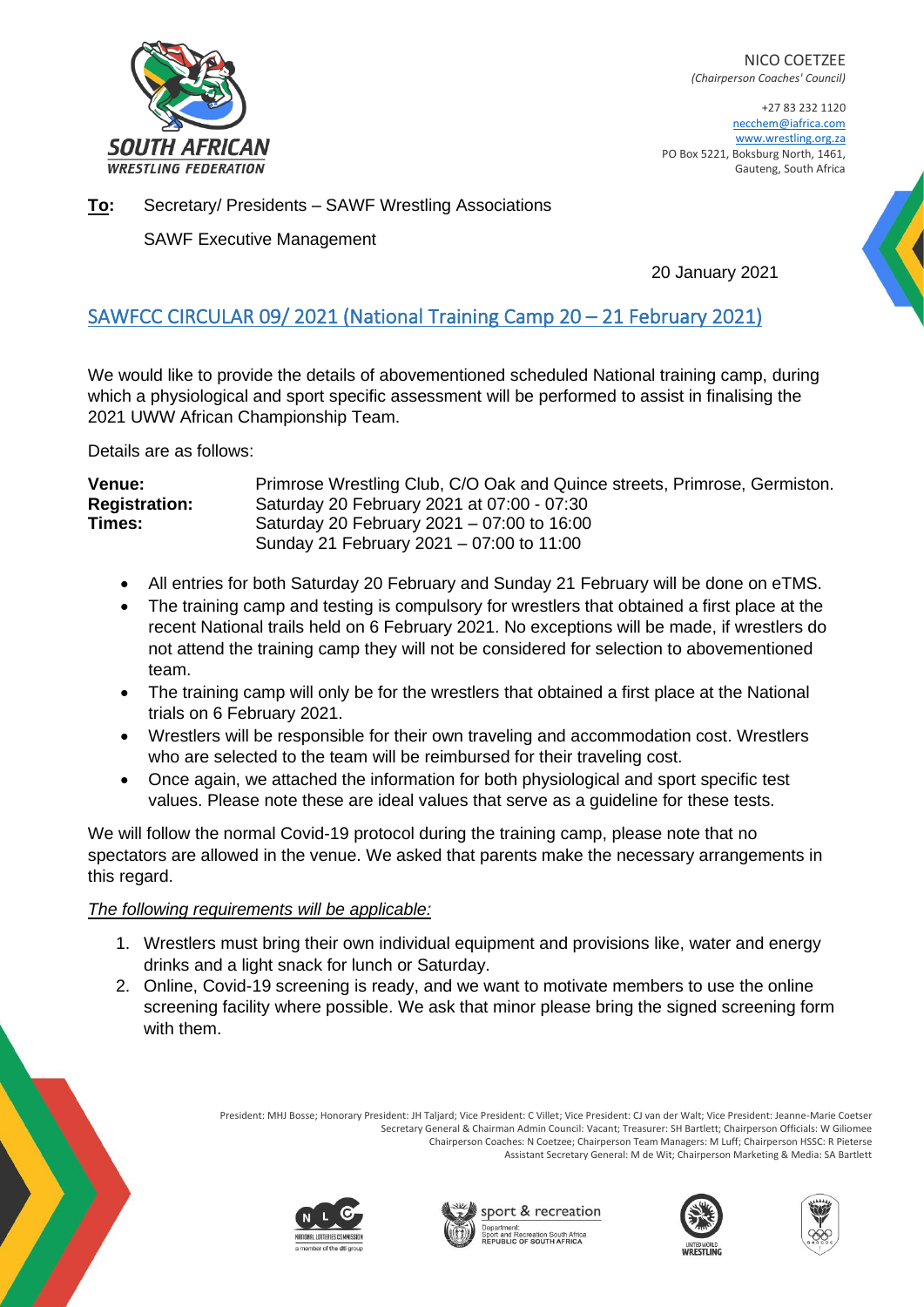

NICO COETZEE *(Chairperson Coaches' Council)*

+27 83 232 1120 necchem@iafrica.com [www.wrestling.org.za](http://www.wrestling.org.za/) PO Box 5221, Boksburg North, 1461, Gauteng, South Africa

**To:** Secretary/ Presidents – SAWF Wrestling Associations

SAWF Executive Management

20 January 2021

## SAWFCC CIRCULAR 09/ 2021 (National Training Camp 20 – 21 February 2021)

We would like to provide the details of abovementioned scheduled National training camp, during which a physiological and sport specific assessment will be performed to assist in finalising the 2021 UWW African Championship Team.

Details are as follows:

| <b>Venue:</b>        | Primrose Wrestling Club, C/O Oak and Quince streets, Primrose, Germiston. |
|----------------------|---------------------------------------------------------------------------|
| <b>Registration:</b> | Saturday 20 February 2021 at 07:00 - 07:30                                |
| Times:               | Saturday 20 February 2021 – 07:00 to 16:00                                |
|                      | Sunday 21 February 2021 – 07:00 to 11:00                                  |

- All entries for both Saturday 20 February and Sunday 21 February will be done on eTMS.
- The training camp and testing is compulsory for wrestlers that obtained a first place at the recent National trails held on 6 February 2021. No exceptions will be made, if wrestlers do not attend the training camp they will not be considered for selection to abovementioned team.
- The training camp will only be for the wrestlers that obtained a first place at the National trials on 6 February 2021.
- Wrestlers will be responsible for their own traveling and accommodation cost. Wrestlers who are selected to the team will be reimbursed for their traveling cost.
- Once again, we attached the information for both physiological and sport specific test values. Please note these are ideal values that serve as a guideline for these tests.

We will follow the normal Covid-19 protocol during the training camp, please note that no spectators are allowed in the venue. We asked that parents make the necessary arrangements in this regard.

## *The following requirements will be applicable:*

- 1. Wrestlers must bring their own individual equipment and provisions like, water and energy drinks and a light snack for lunch or Saturday.
- 2. Online, Covid-19 screening is ready, and we want to motivate members to use the online screening facility where possible. We ask that minor please bring the signed screening form with them.

President: MHJ Bosse; Honorary President: JH Taljard; Vice President: C Villet; Vice President: CJ van der Walt; Vice President: Jeanne-Marie Coetser Secretary General & Chairman Admin Council: Vacant; Treasurer: SH Bartlett; Chairperson Officials: W Giliomee Chairperson Coaches: N Coetzee; Chairperson Team Managers: M Luff; Chairperson HSSC: R Pieterse Assistant Secretary General: M de Wit; Chairperson Marketing & Media: SA Bartlett